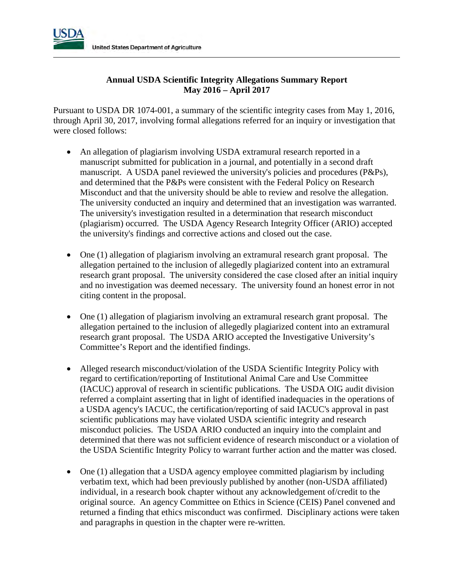

## **Annual USDA Scientific Integrity Allegations Summary Report May 2016 – April 2017**

Pursuant to USDA DR 1074-001, a summary of the scientific integrity cases from May 1, 2016, through April 30, 2017, involving formal allegations referred for an inquiry or investigation that were closed follows:

- An allegation of plagiarism involving USDA extramural research reported in a manuscript submitted for publication in a journal, and potentially in a second draft manuscript. A USDA panel reviewed the university's policies and procedures (P&Ps), and determined that the P&Ps were consistent with the Federal Policy on Research Misconduct and that the university should be able to review and resolve the allegation. The university conducted an inquiry and determined that an investigation was warranted. The university's investigation resulted in a determination that research misconduct (plagiarism) occurred. The USDA Agency Research Integrity Officer (ARIO) accepted the university's findings and corrective actions and closed out the case.
- One (1) allegation of plagiarism involving an extramural research grant proposal. The allegation pertained to the inclusion of allegedly plagiarized content into an extramural research grant proposal. The university considered the case closed after an initial inquiry and no investigation was deemed necessary. The university found an honest error in not citing content in the proposal.
- One (1) allegation of plagiarism involving an extramural research grant proposal. The allegation pertained to the inclusion of allegedly plagiarized content into an extramural research grant proposal. The USDA ARIO accepted the Investigative University's Committee's Report and the identified findings.
- Alleged research misconduct/violation of the USDA Scientific Integrity Policy with regard to certification/reporting of Institutional Animal Care and Use Committee (IACUC) approval of research in scientific publications. The USDA OIG audit division referred a complaint asserting that in light of identified inadequacies in the operations of a USDA agency's IACUC, the certification/reporting of said IACUC's approval in past scientific publications may have violated USDA scientific integrity and research misconduct policies. The USDA ARIO conducted an inquiry into the complaint and determined that there was not sufficient evidence of research misconduct or a violation of the USDA Scientific Integrity Policy to warrant further action and the matter was closed.
- One (1) allegation that a USDA agency employee committed plagiarism by including verbatim text, which had been previously published by another (non-USDA affiliated) individual, in a research book chapter without any acknowledgement of/credit to the original source. An agency Committee on Ethics in Science (CEIS) Panel convened and returned a finding that ethics misconduct was confirmed. Disciplinary actions were taken and paragraphs in question in the chapter were re-written.